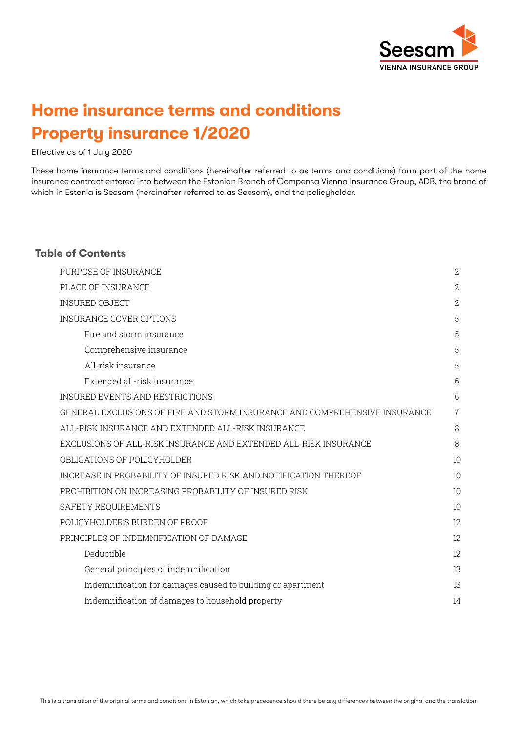

# **Home insurance terms and conditions Property insurance 1/2020**

Effective as of 1 July 2020

These home insurance terms and conditions (hereinafter referred to as terms and conditions) form part of the home insurance contract entered into between the Estonian Branch of Compensa Vienna Insurance Group, ADB, the brand of which in Estonia is Seesam (hereinafter referred to as Seesam), and the policyholder.

## **Table of Contents**

| PURPOSE OF INSURANCE                                                       | $\mathbf{2}$   |
|----------------------------------------------------------------------------|----------------|
| PLACE OF INSURANCE                                                         | $\mathbf{2}$   |
| <b>INSURED OBJECT</b>                                                      | $\overline{2}$ |
| <b>INSURANCE COVER OPTIONS</b>                                             | 5              |
| Fire and storm insurance                                                   | 5              |
| Comprehensive insurance                                                    | 5              |
| All-risk insurance                                                         | 5              |
| Extended all-risk insurance                                                | 6              |
| INSURED EVENTS AND RESTRICTIONS                                            | 6              |
| GENERAL EXCLUSIONS OF FIRE AND STORM INSURANCE AND COMPREHENSIVE INSURANCE | $\overline{7}$ |
| ALL-RISK INSURANCE AND EXTENDED ALL-RISK INSURANCE                         | 8              |
| EXCLUSIONS OF ALL-RISK INSURANCE AND EXTENDED ALL-RISK INSURANCE           | 8              |
| OBLIGATIONS OF POLICYHOLDER                                                | 10             |
| INCREASE IN PROBABILITY OF INSURED RISK AND NOTIFICATION THEREOF           | 10             |
| PROHIBITION ON INCREASING PROBABILITY OF INSURED RISK                      | 10             |
| SAFETY REQUIREMENTS                                                        | 10             |
| POLICYHOLDER'S BURDEN OF PROOF                                             | 12             |
| PRINCIPLES OF INDEMNIFICATION OF DAMAGE                                    | 12             |
| Deductible                                                                 | 12             |
| General principles of indemnification                                      | 13             |
| Indemnification for damages caused to building or apartment                | 13             |
| Indemnification of damages to household property                           | 14             |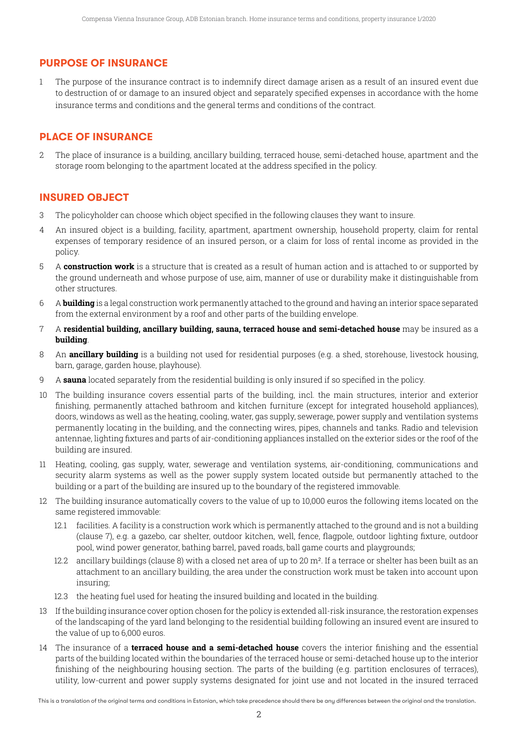# **PURPOSE OF INSURANCE**

1 The purpose of the insurance contract is to indemnify direct damage arisen as a result of an insured event due to destruction of or damage to an insured object and separately specified expenses in accordance with the home insurance terms and conditions and the general terms and conditions of the contract.

# **PLACE OF INSURANCE**

2 The place of insurance is a building, ancillary building, terraced house, semi-detached house, apartment and the storage room belonging to the apartment located at the address specified in the policy.

# **INSURED OBJECT**

- 3 The policyholder can choose which object specified in the following clauses they want to insure.
- 4 An insured object is a building, facility, apartment, apartment ownership, household property, claim for rental expenses of temporary residence of an insured person, or a claim for loss of rental income as provided in the policy.
- 5 A **construction work** is a structure that is created as a result of human action and is attached to or supported by the ground underneath and whose purpose of use, aim, manner of use or durability make it distinguishable from other structures.
- 6 A **building** is a legal construction work permanently attached to the ground and having an interior space separated from the external environment by a roof and other parts of the building envelope.
- 7 A **residential building, ancillary building, sauna, terraced house and semi-detached house** may be insured as a **building**.
- 8 An **ancillary building** is a building not used for residential purposes (e.g. a shed, storehouse, livestock housing, barn, garage, garden house, playhouse).
- 9 A **sauna** located separately from the residential building is only insured if so specified in the policy.
- 10 The building insurance covers essential parts of the building, incl. the main structures, interior and exterior finishing, permanently attached bathroom and kitchen furniture (except for integrated household appliances), doors, windows as well as the heating, cooling, water, gas supply, sewerage, power supply and ventilation systems permanently locating in the building, and the connecting wires, pipes, channels and tanks. Radio and television antennae, lighting fixtures and parts of air-conditioning appliances installed on the exterior sides or the roof of the building are insured.
- 11 Heating, cooling, gas supply, water, sewerage and ventilation systems, air-conditioning, communications and security alarm systems as well as the power supply system located outside but permanently attached to the building or a part of the building are insured up to the boundary of the registered immovable.
- 12 The building insurance automatically covers to the value of up to 10,000 euros the following items located on the same registered immovable:
	- 12.1 facilities. A facility is a construction work which is permanently attached to the ground and is not a building (clause 7), e.g. a gazebo, car shelter, outdoor kitchen, well, fence, flagpole, outdoor lighting fixture, outdoor pool, wind power generator, bathing barrel, paved roads, ball game courts and playgrounds;
	- 12.2 ancillary buildings (clause 8) with a closed net area of up to 20  $m^2$ . If a terrace or shelter has been built as an attachment to an ancillary building, the area under the construction work must be taken into account upon insuring;
	- 12.3 the heating fuel used for heating the insured building and located in the building.
- 13 If the building insurance cover option chosen for the policy is extended all-risk insurance, the restoration expenses of the landscaping of the yard land belonging to the residential building following an insured event are insured to the value of up to 6,000 euros.
- 14 The insurance of a **terraced house and a semi-detached house** covers the interior finishing and the essential parts of the building located within the boundaries of the terraced house or semi-detached house up to the interior finishing of the neighbouring housing section. The parts of the building (e.g. partition enclosures of terraces), utility, low-current and power supply systems designated for joint use and not located in the insured terraced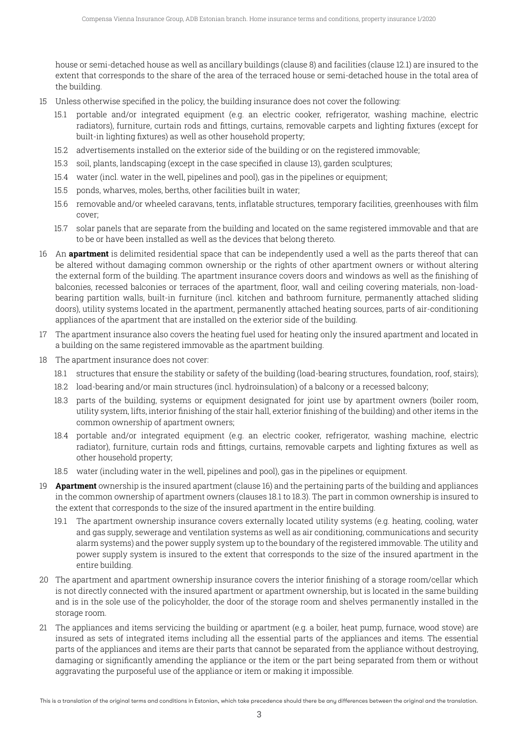house or semi-detached house as well as ancillary buildings (clause 8) and facilities (clause 12.1) are insured to the extent that corresponds to the share of the area of the terraced house or semi-detached house in the total area of the building.

- 15 Unless otherwise specified in the policy, the building insurance does not cover the following:
	- 15.1 portable and/or integrated equipment (e.g. an electric cooker, refrigerator, washing machine, electric radiators), furniture, curtain rods and fittings, curtains, removable carpets and lighting fixtures (except for built-in lighting fixtures) as well as other household property;
	- 15.2 advertisements installed on the exterior side of the building or on the registered immovable;
	- 15.3 soil, plants, landscaping (except in the case specified in clause 13), garden sculptures;
	- 15.4 water (incl. water in the well, pipelines and pool), gas in the pipelines or equipment;
	- 15.5 ponds, wharves, moles, berths, other facilities built in water;
	- 15.6 removable and/or wheeled caravans, tents, inflatable structures, temporary facilities, greenhouses with film cover;
	- 15.7 solar panels that are separate from the building and located on the same registered immovable and that are to be or have been installed as well as the devices that belong thereto.
- 16 An **apartment** is delimited residential space that can be independently used a well as the parts thereof that can be altered without damaging common ownership or the rights of other apartment owners or without altering the external form of the building. The apartment insurance covers doors and windows as well as the finishing of balconies, recessed balconies or terraces of the apartment, floor, wall and ceiling covering materials, non-loadbearing partition walls, built-in furniture (incl. kitchen and bathroom furniture, permanently attached sliding doors), utility systems located in the apartment, permanently attached heating sources, parts of air-conditioning appliances of the apartment that are installed on the exterior side of the building.
- 17 The apartment insurance also covers the heating fuel used for heating only the insured apartment and located in a building on the same registered immovable as the apartment building.
- 18 The apartment insurance does not cover:
	- 18.1 structures that ensure the stability or safety of the building (load-bearing structures, foundation, roof, stairs);
	- 18.2 load-bearing and/or main structures (incl. hydroinsulation) of a balcony or a recessed balcony;
	- 18.3 parts of the building, systems or equipment designated for joint use by apartment owners (boiler room, utility system, lifts, interior finishing of the stair hall, exterior finishing of the building) and other items in the common ownership of apartment owners;
	- 18.4 portable and/or integrated equipment (e.g. an electric cooker, refrigerator, washing machine, electric radiator), furniture, curtain rods and fittings, curtains, removable carpets and lighting fixtures as well as other household property;
	- 18.5 water (including water in the well, pipelines and pool), gas in the pipelines or equipment.
- 19 **Apartment** ownership is the insured apartment (clause 16) and the pertaining parts of the building and appliances in the common ownership of apartment owners (clauses 18.1 to 18.3). The part in common ownership is insured to the extent that corresponds to the size of the insured apartment in the entire building.
	- 19.1 The apartment ownership insurance covers externally located utility systems (e.g. heating, cooling, water and gas supply, sewerage and ventilation systems as well as air conditioning, communications and security alarm systems) and the power supply system up to the boundary of the registered immovable. The utility and power supply system is insured to the extent that corresponds to the size of the insured apartment in the entire building.
- 20 The apartment and apartment ownership insurance covers the interior finishing of a storage room/cellar which is not directly connected with the insured apartment or apartment ownership, but is located in the same building and is in the sole use of the policyholder, the door of the storage room and shelves permanently installed in the storage room.
- 21 The appliances and items servicing the building or apartment (e.g. a boiler, heat pump, furnace, wood stove) are insured as sets of integrated items including all the essential parts of the appliances and items. The essential parts of the appliances and items are their parts that cannot be separated from the appliance without destroying, damaging or significantly amending the appliance or the item or the part being separated from them or without aggravating the purposeful use of the appliance or item or making it impossible.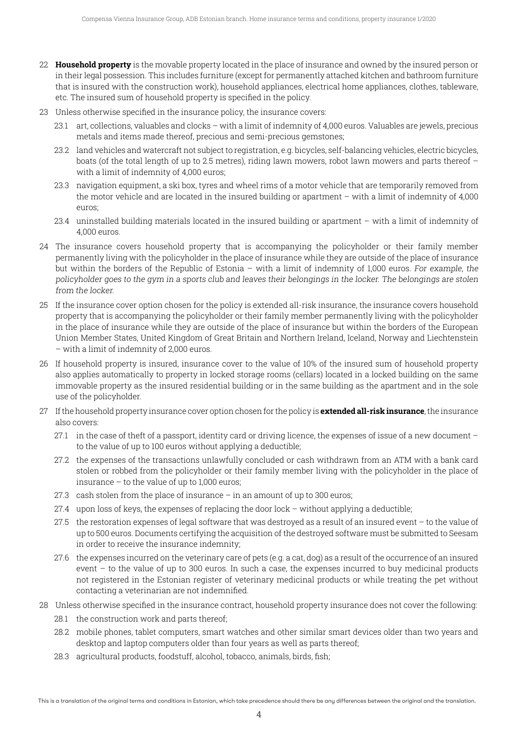- 22 **Household property** is the movable property located in the place of insurance and owned by the insured person or in their legal possession. This includes furniture (except for permanently attached kitchen and bathroom furniture that is insured with the construction work), household appliances, electrical home appliances, clothes, tableware, etc. The insured sum of household property is specified in the policy.
- 23 Unless otherwise specified in the insurance policy, the insurance covers:
	- 23.1 art, collections, valuables and clocks with a limit of indemnity of 4,000 euros. Valuables are jewels, precious metals and items made thereof, precious and semi-precious gemstones;
	- 23.2 land vehicles and watercraft not subject to registration, e.g. bicycles, self-balancing vehicles, electric bicycles, boats (of the total length of up to 2.5 metres), riding lawn mowers, robot lawn mowers and parts thereof – with a limit of indemnity of 4,000 euros;
	- 23.3 navigation equipment, a ski box, tyres and wheel rims of a motor vehicle that are temporarily removed from the motor vehicle and are located in the insured building or apartment – with a limit of indemnity of 4,000 euros;
	- 23.4 uninstalled building materials located in the insured building or apartment with a limit of indemnity of 4,000 euros.
- 24 The insurance covers household property that is accompanying the policyholder or their family member permanently living with the policyholder in the place of insurance while they are outside of the place of insurance but within the borders of the Republic of Estonia – with a limit of indemnity of 1,000 euros. For example, the policyholder goes to the gym in <sup>a</sup> sports club and leaves their belongings in the locker. The belongings are stolen from the locker.
- 25 If the insurance cover option chosen for the policy is extended all-risk insurance, the insurance covers household property that is accompanying the policyholder or their family member permanently living with the policyholder in the place of insurance while they are outside of the place of insurance but within the borders of the European Union Member States, United Kingdom of Great Britain and Northern Ireland, Iceland, Norway and Liechtenstein – with a limit of indemnity of 2,000 euros.
- 26 If household property is insured, insurance cover to the value of 10% of the insured sum of household property also applies automatically to property in locked storage rooms (cellars) located in a locked building on the same immovable property as the insured residential building or in the same building as the apartment and in the sole use of the policyholder.
- 27 If the household property insurance cover option chosen for the policy is **extended all-risk insurance**, the insurance also covers:
	- 27.1 in the case of theft of a passport, identity card or driving licence, the expenses of issue of a new document to the value of up to 100 euros without applying a deductible;
	- 27.2 the expenses of the transactions unlawfully concluded or cash withdrawn from an ATM with a bank card stolen or robbed from the policyholder or their family member living with the policyholder in the place of insurance – to the value of up to 1,000 euros;
	- 27.3  $\,$  cash stolen from the place of insurance in an amount of up to 300 euros;
	- $27.4$  upon loss of keys, the expenses of replacing the door lock without applying a deductible;
	- $27.5$  the restoration expenses of legal software that was destroyed as a result of an insured event to the value of up to 500 euros. Documents certifying the acquisition of the destroyed software must be submitted to Seesam in order to receive the insurance indemnity;
	- 27.6 the expenses incurred on the veterinary care of pets (e.g. a cat, dog) as a result of the occurrence of an insured event – to the value of up to 300 euros. In such a case, the expenses incurred to buy medicinal products not registered in the Estonian register of veterinary medicinal products or while treating the pet without contacting a veterinarian are not indemnified.
- 28 Unless otherwise specified in the insurance contract, household property insurance does not cover the following:
	- 28.1 the construction work and parts thereof:
	- 28.2 mobile phones, tablet computers, smart watches and other similar smart devices older than two years and desktop and laptop computers older than four years as well as parts thereof;
	- 28.3 agricultural products, foodstuff, alcohol, tobacco, animals, birds, fish;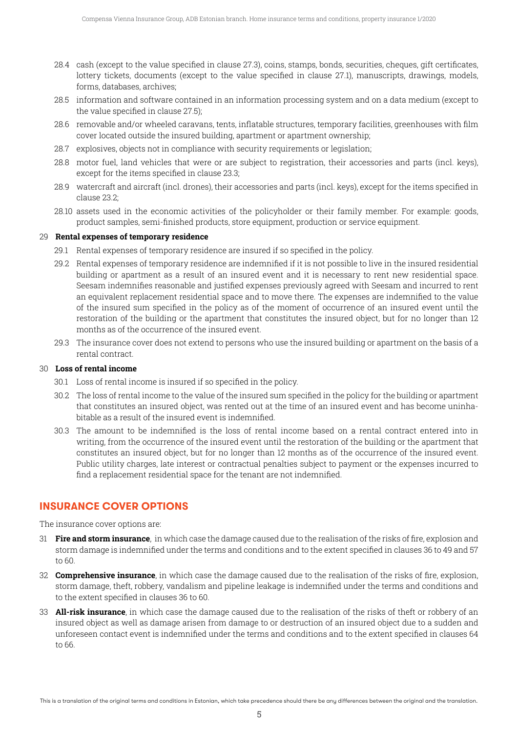- 28.4 cash (except to the value specified in clause 27.3), coins, stamps, bonds, securities, cheques, gift certificates, lottery tickets, documents (except to the value specified in clause 27.1), manuscripts, drawings, models, forms, databases, archives;
- 28.5 information and software contained in an information processing system and on a data medium (except to the value specified in clause 27.5);
- 28.6 removable and/or wheeled caravans, tents, inflatable structures, temporary facilities, greenhouses with film cover located outside the insured building, apartment or apartment ownership;
- 28.7 explosives, objects not in compliance with security requirements or legislation;
- 28.8 motor fuel, land vehicles that were or are subject to registration, their accessories and parts (incl. keys), except for the items specified in clause 23.3;
- 28.9 watercraft and aircraft (incl. drones), their accessories and parts (incl. keys), except for the items specified in clause 23.2;
- 28.10 assets used in the economic activities of the policyholder or their family member. For example: goods, product samples, semi-finished products, store equipment, production or service equipment.

#### 29 **Rental expenses of temporary residence**

- 29.1 Rental expenses of temporary residence are insured if so specified in the policy.
- 29.2 Rental expenses of temporary residence are indemnified if it is not possible to live in the insured residential building or apartment as a result of an insured event and it is necessary to rent new residential space. Seesam indemnifies reasonable and justified expenses previously agreed with Seesam and incurred to rent an equivalent replacement residential space and to move there. The expenses are indemnified to the value of the insured sum specified in the policy as of the moment of occurrence of an insured event until the restoration of the building or the apartment that constitutes the insured object, but for no longer than 12 months as of the occurrence of the insured event.
- 29.3 The insurance cover does not extend to persons who use the insured building or apartment on the basis of a rental contract.

#### 30 **Loss of rental income**

- 30.1 Loss of rental income is insured if so specified in the policy.
- 30.2 The loss of rental income to the value of the insured sum specified in the policy for the building or apartment that constitutes an insured object, was rented out at the time of an insured event and has become uninhabitable as a result of the insured event is indemnified.
- 30.3 The amount to be indemnified is the loss of rental income based on a rental contract entered into in writing, from the occurrence of the insured event until the restoration of the building or the apartment that constitutes an insured object, but for no longer than 12 months as of the occurrence of the insured event. Public utility charges, late interest or contractual penalties subject to payment or the expenses incurred to find a replacement residential space for the tenant are not indemnified.

#### **INSURANCE COVER OPTIONS**

The insurance cover options are:

- 31 **Fire and storm insurance**, in which case the damage caused due to the realisation of the risks of fire, explosion and storm damage is indemnified under the terms and conditions and to the extent specified in clauses 36 to 49 and 57 to 60.
- 32 **Comprehensive insurance**, in which case the damage caused due to the realisation of the risks of fire, explosion, storm damage, theft, robbery, vandalism and pipeline leakage is indemnified under the terms and conditions and to the extent specified in clauses 36 to 60.
- 33 **All-risk insurance**, in which case the damage caused due to the realisation of the risks of theft or robbery of an insured object as well as damage arisen from damage to or destruction of an insured object due to a sudden and unforeseen contact event is indemnified under the terms and conditions and to the extent specified in clauses 64 to 66.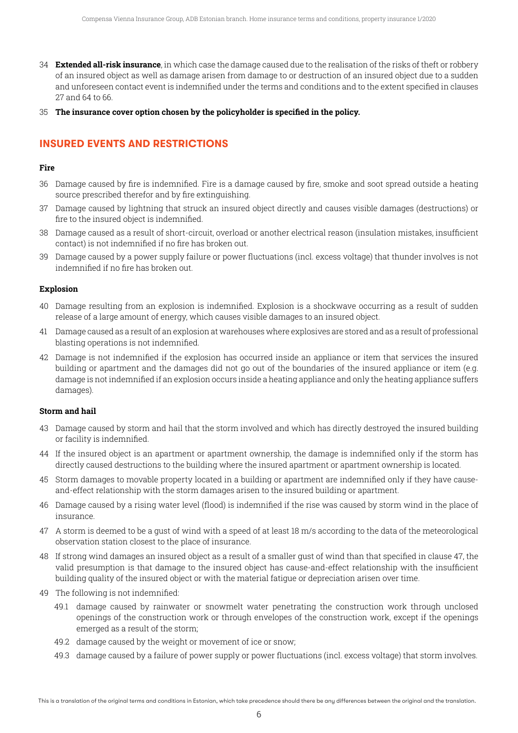- 34 **Extended all-risk insurance**, in which case the damage caused due to the realisation of the risks of theft or robbery of an insured object as well as damage arisen from damage to or destruction of an insured object due to a sudden and unforeseen contact event is indemnified under the terms and conditions and to the extent specified in clauses 27 and 64 to 66.
- 35 **The insurance cover option chosen by the policyholder is specified in the policy.**

# **INSURED EVENTS AND RESTRICTIONS**

#### **Fire**

- 36 Damage caused by fire is indemnified. Fire is a damage caused by fire, smoke and soot spread outside a heating source prescribed therefor and by fire extinguishing.
- 37 Damage caused by lightning that struck an insured object directly and causes visible damages (destructions) or fire to the insured object is indemnified.
- 38 Damage caused as a result of short-circuit, overload or another electrical reason (insulation mistakes, insufficient contact) is not indemnified if no fire has broken out.
- 39 Damage caused by a power supply failure or power fluctuations (incl. excess voltage) that thunder involves is not indemnified if no fire has broken out.

#### **Explosion**

- 40 Damage resulting from an explosion is indemnified. Explosion is a shockwave occurring as a result of sudden release of a large amount of energy, which causes visible damages to an insured object.
- 41 Damage caused as a result of an explosion at warehouses where explosives are stored and as a result of professional blasting operations is not indemnified.
- 42 Damage is not indemnified if the explosion has occurred inside an appliance or item that services the insured building or apartment and the damages did not go out of the boundaries of the insured appliance or item (e.g. damage is not indemnified if an explosion occurs inside a heating appliance and only the heating appliance suffers damages).

#### **Storm and hail**

- 43 Damage caused by storm and hail that the storm involved and which has directly destroyed the insured building or facility is indemnified.
- 44 If the insured object is an apartment or apartment ownership, the damage is indemnified only if the storm has directly caused destructions to the building where the insured apartment or apartment ownership is located.
- 45 Storm damages to movable property located in a building or apartment are indemnified only if they have causeand-effect relationship with the storm damages arisen to the insured building or apartment.
- 46 Damage caused by a rising water level (flood) is indemnified if the rise was caused by storm wind in the place of insurance.
- 47 A storm is deemed to be a gust of wind with a speed of at least 18 m/s according to the data of the meteorological observation station closest to the place of insurance.
- 48 If strong wind damages an insured object as a result of a smaller gust of wind than that specified in clause 47, the valid presumption is that damage to the insured object has cause-and-effect relationship with the insufficient building quality of the insured object or with the material fatigue or depreciation arisen over time.
- 49 The following is not indemnified:
	- 49.1 damage caused by rainwater or snowmelt water penetrating the construction work through unclosed openings of the construction work or through envelopes of the construction work, except if the openings emerged as a result of the storm;
	- 49.2 damage caused by the weight or movement of ice or snow;
	- 49.3 damage caused by a failure of power supply or power fluctuations (incl. excess voltage) that storm involves.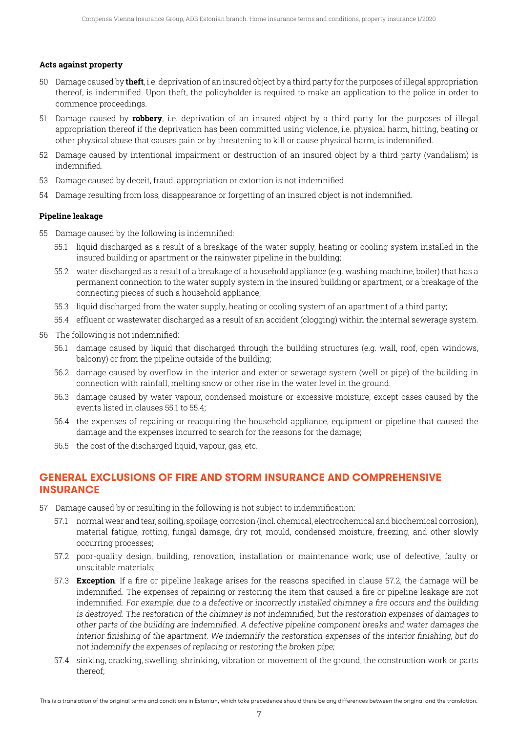#### **Acts against property**

- 50 Damage caused by **theft**, i.e. deprivation of an insured object by a third party for the purposes of illegal appropriation thereof, is indemnified. Upon theft, the policyholder is required to make an application to the police in order to commence proceedings.
- 51 Damage caused by **robbery**, i.e. deprivation of an insured object by a third party for the purposes of illegal appropriation thereof if the deprivation has been committed using violence, i.e. physical harm, hitting, beating or other physical abuse that causes pain or by threatening to kill or cause physical harm, is indemnified.
- 52 Damage caused by intentional impairment or destruction of an insured object by a third party (vandalism) is indemnified.
- 53 Damage caused by deceit, fraud, appropriation or extortion is not indemnified.
- 54 Damage resulting from loss, disappearance or forgetting of an insured object is not indemnified.

#### **Pipeline leakage**

- 55 Damage caused by the following is indemnified:
	- 55.1 liquid discharged as a result of a breakage of the water supply, heating or cooling system installed in the insured building or apartment or the rainwater pipeline in the building;
	- 55.2 water discharged as a result of a breakage of a household appliance (e.g. washing machine, boiler) that has a permanent connection to the water supply system in the insured building or apartment, or a breakage of the connecting pieces of such a household appliance;
	- 55.3 liquid discharged from the water supply, heating or cooling system of an apartment of a third party;
	- 55.4 effluent or wastewater discharged as a result of an accident (clogging) within the internal sewerage system.
- 56 The following is not indemnified:
	- 56.1 damage caused by liquid that discharged through the building structures (e.g. wall, roof, open windows, balcony) or from the pipeline outside of the building;
	- 56.2 damage caused by overflow in the interior and exterior sewerage system (well or pipe) of the building in connection with rainfall, melting snow or other rise in the water level in the ground.
	- 56.3 damage caused by water vapour, condensed moisture or excessive moisture, except cases caused by the events listed in clauses 55.1 to 55.4;
	- 56.4 the expenses of repairing or reacquiring the household appliance, equipment or pipeline that caused the damage and the expenses incurred to search for the reasons for the damage;
	- 56.5 the cost of the discharged liquid, vapour, gas, etc.

## **GENERAL EXCLUSIONS OF FIRE AND STORM INSURANCE AND COMPREHENSIVE INSURANCE**

- 57 Damage caused by or resulting in the following is not subject to indemnification:
	- 57.1 normal wear and tear, soiling, spoilage, corrosion (incl. chemical, electrochemical and biochemical corrosion), material fatigue, rotting, fungal damage, dry rot, mould, condensed moisture, freezing, and other slowly occurring processes;
	- 57.2 poor-quality design, building, renovation, installation or maintenance work; use of defective, faulty or unsuitable materials;
	- 57.3 **Exception**. If a fire or pipeline leakage arises for the reasons specified in clause 57.2, the damage will be indemnified. The expenses of repairing or restoring the item that caused a fire or pipeline leakage are not indemnified. For example: due to <sup>a</sup> defective or incorrectly installed chimney <sup>a</sup> fire occurs and the building is destroyed. The restoration of the chimney is not indemnified, but the restoration expenses of damages to other parts of the building are indemnified. A defective pipeline component breaks and water damages the interior finishing of the apartment. We indemnify the restoration expenses of the interior finishing, but do not indemnify the expenses of replacing or restoring the broken pipe;
	- 57.4 sinking, cracking, swelling, shrinking, vibration or movement of the ground, the construction work or parts thereof;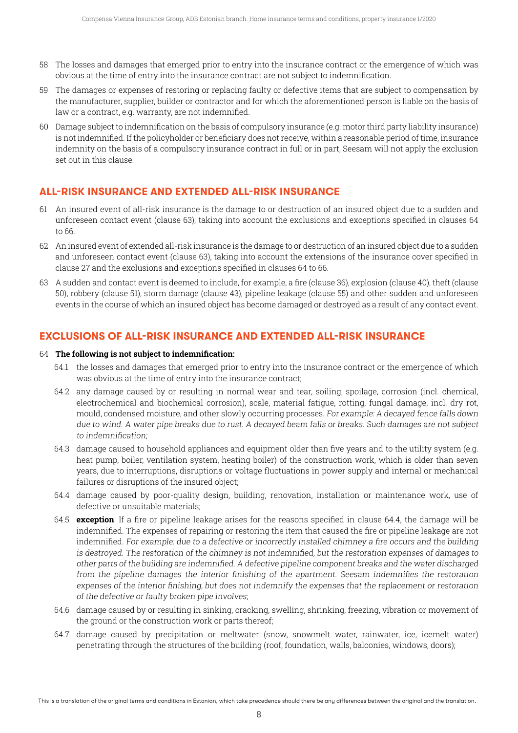- 58 The losses and damages that emerged prior to entry into the insurance contract or the emergence of which was obvious at the time of entry into the insurance contract are not subject to indemnification.
- 59 The damages or expenses of restoring or replacing faulty or defective items that are subject to compensation by the manufacturer, supplier, builder or contractor and for which the aforementioned person is liable on the basis of law or a contract, e.g. warranty, are not indemnified.
- 60 Damage subject to indemnification on the basis of compulsory insurance (e.g. motor third party liability insurance) is not indemnified. If the policyholder or beneficiary does not receive, within a reasonable period of time, insurance indemnity on the basis of a compulsory insurance contract in full or in part, Seesam will not apply the exclusion set out in this clause.

## **ALL-RISK INSURANCE AND EXTENDED ALL-RISK INSURANCE**

- 61 An insured event of all-risk insurance is the damage to or destruction of an insured object due to a sudden and unforeseen contact event (clause 63), taking into account the exclusions and exceptions specified in clauses 64 to 66.
- 62 An insured event of extended all-risk insurance is the damage to or destruction of an insured object due to a sudden and unforeseen contact event (clause 63), taking into account the extensions of the insurance cover specified in clause 27 and the exclusions and exceptions specified in clauses 64 to 66.
- 63 A sudden and contact event is deemed to include, for example, a fire (clause 36), explosion (clause 40), theft (clause 50), robbery (clause 51), storm damage (clause 43), pipeline leakage (clause 55) and other sudden and unforeseen events in the course of which an insured object has become damaged or destroyed as a result of any contact event.

## **EXCLUSIONS OF ALL-RISK INSURANCE AND EXTENDED ALL-RISK INSURANCE**

#### 64 **The following is not subject to indemnification:**

- 64.1 the losses and damages that emerged prior to entry into the insurance contract or the emergence of which was obvious at the time of entry into the insurance contract;
- 64.2 any damage caused by or resulting in normal wear and tear, soiling, spoilage, corrosion (incl. chemical, electrochemical and biochemical corrosion), scale, material fatigue, rotting, fungal damage, incl. dry rot, mould, condensed moisture, and other slowly occurring processes. For example: A decayed fence falls down due to wind. A water pipe breaks due to rust. A decayed beam falls or breaks. Such damages are not subject to indemnification;
- 64.3 damage caused to household appliances and equipment older than five years and to the utility system (e.g. heat pump, boiler, ventilation system, heating boiler) of the construction work, which is older than seven years, due to interruptions, disruptions or voltage fluctuations in power supply and internal or mechanical failures or disruptions of the insured object;
- 64.4 damage caused by poor-quality design, building, renovation, installation or maintenance work, use of defective or unsuitable materials;
- 64.5 **exception**. If a fire or pipeline leakage arises for the reasons specified in clause 64.4, the damage will be indemnified. The expenses of repairing or restoring the item that caused the fire or pipeline leakage are not indemnified. For example: due to <sup>a</sup> defective or incorrectly installed chimney <sup>a</sup> fire occurs and the building is destroyed. The restoration of the chimney is not indemnified, but the restoration expenses of damages to other parts of the building are indemnified. A defective pipeline component breaks and the water discharged from the pipeline damages the interior finishing of the apartment. Seesam indemnifies the restoration expenses of the interior finishing, but does not indemnify the expenses that the replacement or restoration of the defective or faulty broken pipe involves;
- 64.6 damage caused by or resulting in sinking, cracking, swelling, shrinking, freezing, vibration or movement of the ground or the construction work or parts thereof;
- 64.7 damage caused by precipitation or meltwater (snow, snowmelt water, rainwater, ice, icemelt water) penetrating through the structures of the building (roof, foundation, walls, balconies, windows, doors);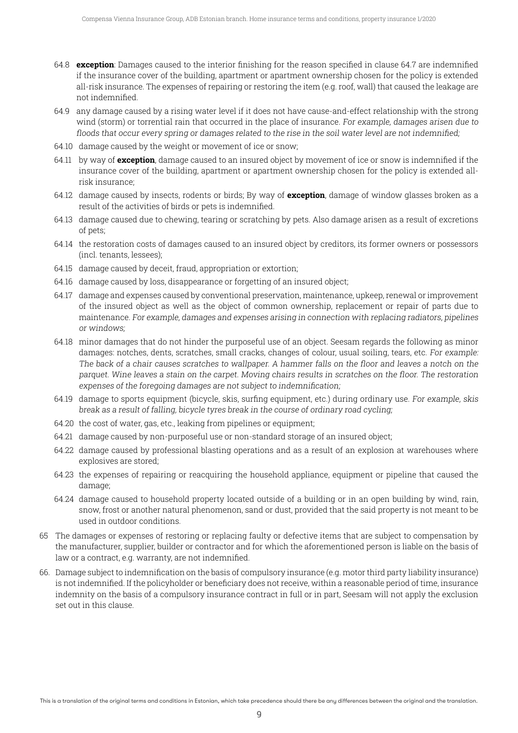- 64.8 **exception**: Damages caused to the interior finishing for the reason specified in clause 64.7 are indemnified if the insurance cover of the building, apartment or apartment ownership chosen for the policy is extended all-risk insurance. The expenses of repairing or restoring the item (e.g. roof, wall) that caused the leakage are not indemnified.
- 64.9 any damage caused by a rising water level if it does not have cause-and-effect relationship with the strong wind (storm) or torrential rain that occurred in the place of insurance. For example, damages arisen due to floods that occur every spring or damages related to the rise in the soil water level are not indemnified;
- 64.10 damage caused by the weight or movement of ice or snow;
- 64.11 by way of **exception**, damage caused to an insured object by movement of ice or snow is indemnified if the insurance cover of the building, apartment or apartment ownership chosen for the policy is extended allrisk insurance;
- 64.12 damage caused by insects, rodents or birds; By way of **exception**, damage of window glasses broken as a result of the activities of birds or pets is indemnified.
- 64.13 damage caused due to chewing, tearing or scratching by pets. Also damage arisen as a result of excretions of pets;
- 64.14 the restoration costs of damages caused to an insured object by creditors, its former owners or possessors (incl. tenants, lessees);
- 64.15 damage caused by deceit, fraud, appropriation or extortion;
- 64.16 damage caused by loss, disappearance or forgetting of an insured object;
- 64.17 damage and expenses caused by conventional preservation, maintenance, upkeep, renewal or improvement of the insured object as well as the object of common ownership, replacement or repair of parts due to maintenance. For example, damages and expenses arising in connection with replacing radiators, pipelines or windows;
- 64.18 minor damages that do not hinder the purposeful use of an object. Seesam regards the following as minor damages: notches, dents, scratches, small cracks, changes of colour, usual soiling, tears, etc. For example: The back of <sup>a</sup> chair causes scratches to wallpaper. A hammer falls on the floor and leaves <sup>a</sup> notch on the parquet. Wine leaves <sup>a</sup> stain on the carpet. Moving chairs results in scratches on the floor. The restoration expenses of the foregoing damages are not subject to indemnification;
- 64.19 damage to sports equipment (bicycle, skis, surfing equipment, etc.) during ordinary use. For example, skis break as <sup>a</sup> result of falling, bicycle tyres break in the course of ordinary road cycling;
- 64.20 the cost of water, gas, etc., leaking from pipelines or equipment;
- 64.21 damage caused by non-purposeful use or non-standard storage of an insured object;
- 64.22 damage caused by professional blasting operations and as a result of an explosion at warehouses where explosives are stored;
- 64.23 the expenses of repairing or reacquiring the household appliance, equipment or pipeline that caused the damage;
- 64.24 damage caused to household property located outside of a building or in an open building by wind, rain, snow, frost or another natural phenomenon, sand or dust, provided that the said property is not meant to be used in outdoor conditions.
- 65 The damages or expenses of restoring or replacing faulty or defective items that are subject to compensation by the manufacturer, supplier, builder or contractor and for which the aforementioned person is liable on the basis of law or a contract, e.g. warranty, are not indemnified.
- 66. Damage subject to indemnification on the basis of compulsory insurance (e.g. motor third party liability insurance) is not indemnified. If the policyholder or beneficiary does not receive, within a reasonable period of time, insurance indemnity on the basis of a compulsory insurance contract in full or in part, Seesam will not apply the exclusion set out in this clause.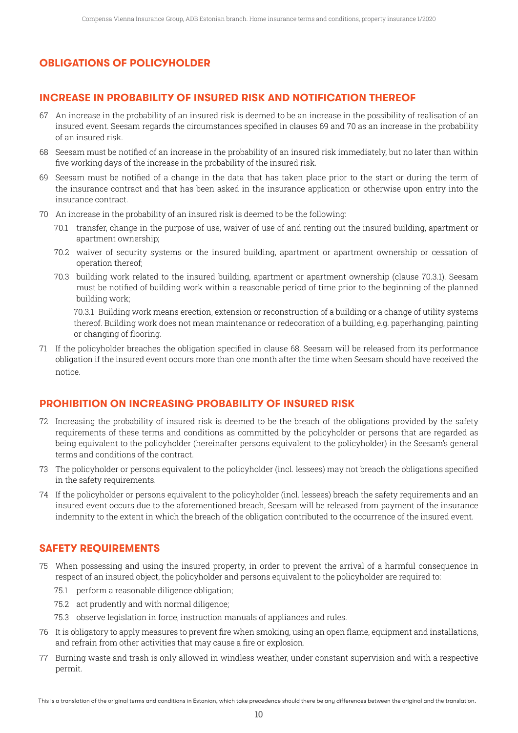# **OBLIGATIONS OF POLICYHOLDER**

## **INCREASE IN PROBABILITY OF INSURED RISK AND NOTIFICATION THEREOF**

- 67 An increase in the probability of an insured risk is deemed to be an increase in the possibility of realisation of an insured event. Seesam regards the circumstances specified in clauses 69 and 70 as an increase in the probability of an insured risk.
- 68 Seesam must be notified of an increase in the probability of an insured risk immediately, but no later than within five working days of the increase in the probability of the insured risk.
- 69 Seesam must be notified of a change in the data that has taken place prior to the start or during the term of the insurance contract and that has been asked in the insurance application or otherwise upon entry into the insurance contract.
- 70 An increase in the probability of an insured risk is deemed to be the following:
	- 70.1 transfer, change in the purpose of use, waiver of use of and renting out the insured building, apartment or apartment ownership;
	- 70.2 waiver of security systems or the insured building, apartment or apartment ownership or cessation of operation thereof;
	- 70.3 building work related to the insured building, apartment or apartment ownership (clause 70.3.1). Seesam must be notified of building work within a reasonable period of time prior to the beginning of the planned building work;

 70.3.1 Building work means erection, extension or reconstruction of a building or a change of utility systems thereof. Building work does not mean maintenance or redecoration of a building, e.g. paperhanging, painting or changing of flooring.

71 If the policyholder breaches the obligation specified in clause 68, Seesam will be released from its performance obligation if the insured event occurs more than one month after the time when Seesam should have received the notice.

#### **PROHIBITION ON INCREASING PROBABILITY OF INSURED RISK**

- 72 Increasing the probability of insured risk is deemed to be the breach of the obligations provided by the safety requirements of these terms and conditions as committed by the policyholder or persons that are regarded as being equivalent to the policyholder (hereinafter persons equivalent to the policyholder) in the Seesam's general terms and conditions of the contract.
- 73 The policyholder or persons equivalent to the policyholder (incl. lessees) may not breach the obligations specified in the safety requirements.
- 74 If the policyholder or persons equivalent to the policyholder (incl. lessees) breach the safety requirements and an insured event occurs due to the aforementioned breach, Seesam will be released from payment of the insurance indemnity to the extent in which the breach of the obligation contributed to the occurrence of the insured event.

#### **SAFETY REQUIREMENTS**

- 75 When possessing and using the insured property, in order to prevent the arrival of a harmful consequence in respect of an insured object, the policyholder and persons equivalent to the policyholder are required to:
	- 75.1 perform a reasonable diligence obligation;
	- 75.2 act prudently and with normal diligence;
	- 75.3 observe legislation in force, instruction manuals of appliances and rules.
- 76 It is obligatory to apply measures to prevent fire when smoking, using an open flame, equipment and installations, and refrain from other activities that may cause a fire or explosion.
- 77 Burning waste and trash is only allowed in windless weather, under constant supervision and with a respective permit.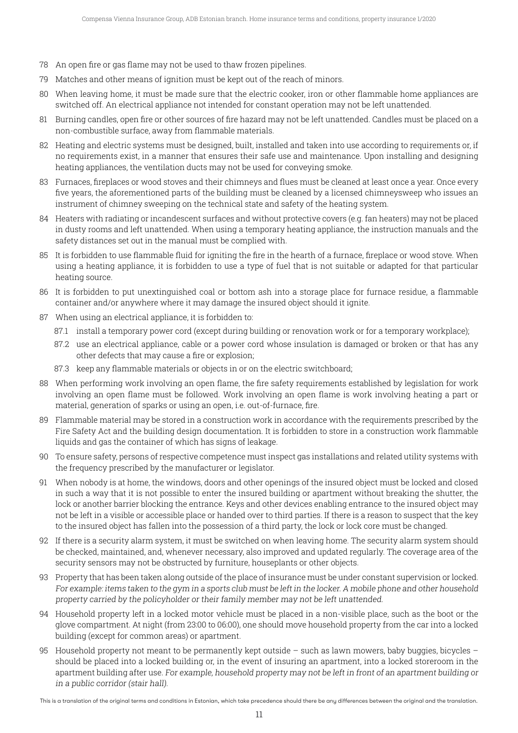- 78 An open fire or gas flame may not be used to thaw frozen pipelines.
- 79 Matches and other means of ignition must be kept out of the reach of minors.
- 80 When leaving home, it must be made sure that the electric cooker, iron or other flammable home appliances are switched off. An electrical appliance not intended for constant operation may not be left unattended.
- 81 Burning candles, open fire or other sources of fire hazard may not be left unattended. Candles must be placed on a non-combustible surface, away from flammable materials.
- 82 Heating and electric systems must be designed, built, installed and taken into use according to requirements or, if no requirements exist, in a manner that ensures their safe use and maintenance. Upon installing and designing heating appliances, the ventilation ducts may not be used for conveying smoke.
- 83 Furnaces, fireplaces or wood stoves and their chimneys and flues must be cleaned at least once a year. Once every five years, the aforementioned parts of the building must be cleaned by a licensed chimneysweep who issues an instrument of chimney sweeping on the technical state and safety of the heating system.
- 84 Heaters with radiating or incandescent surfaces and without protective covers (e.g. fan heaters) may not be placed in dusty rooms and left unattended. When using a temporary heating appliance, the instruction manuals and the safety distances set out in the manual must be complied with.
- 85 It is forbidden to use flammable fluid for igniting the fire in the hearth of a furnace, fireplace or wood stove. When using a heating appliance, it is forbidden to use a type of fuel that is not suitable or adapted for that particular heating source.
- 86 It is forbidden to put unextinguished coal or bottom ash into a storage place for furnace residue, a flammable container and/or anywhere where it may damage the insured object should it ignite.
- 87 When using an electrical appliance, it is forbidden to:
	- 87.1 install a temporary power cord (except during building or renovation work or for a temporary workplace);
	- 87.2 use an electrical appliance, cable or a power cord whose insulation is damaged or broken or that has any other defects that may cause a fire or explosion;
	- 87.3 keep any flammable materials or objects in or on the electric switchboard;
- 88 When performing work involving an open flame, the fire safety requirements established by legislation for work involving an open flame must be followed. Work involving an open flame is work involving heating a part or material, generation of sparks or using an open, i.e. out-of-furnace, fire.
- 89 Flammable material may be stored in a construction work in accordance with the requirements prescribed by the Fire Safety Act and the building design documentation. It is forbidden to store in a construction work flammable liquids and gas the container of which has signs of leakage.
- 90 To ensure safety, persons of respective competence must inspect gas installations and related utility systems with the frequency prescribed by the manufacturer or legislator.
- 91 When nobody is at home, the windows, doors and other openings of the insured object must be locked and closed in such a way that it is not possible to enter the insured building or apartment without breaking the shutter, the lock or another barrier blocking the entrance. Keys and other devices enabling entrance to the insured object may not be left in a visible or accessible place or handed over to third parties. If there is a reason to suspect that the key to the insured object has fallen into the possession of a third party, the lock or lock core must be changed.
- 92 If there is a security alarm system, it must be switched on when leaving home. The security alarm system should be checked, maintained, and, whenever necessary, also improved and updated regularly. The coverage area of the security sensors may not be obstructed by furniture, houseplants or other objects.
- 93 Property that has been taken along outside of the place of insurance must be under constant supervision or locked. For example: items taken to the gym in <sup>a</sup> sports club must be left in the locker. A mobile phone and other household property carried by the policyholder or their family member may not be left unattended.
- 94 Household property left in a locked motor vehicle must be placed in a non-visible place, such as the boot or the glove compartment. At night (from 23:00 to 06:00), one should move household property from the car into a locked building (except for common areas) or apartment.
- 95 Household property not meant to be permanently kept outside such as lawn mowers, baby buggies, bicycles should be placed into a locked building or, in the event of insuring an apartment, into a locked storeroom in the apartment building after use. For example, household property may not be left in front of an apartment building or in <sup>a</sup> public corridor (stair hall).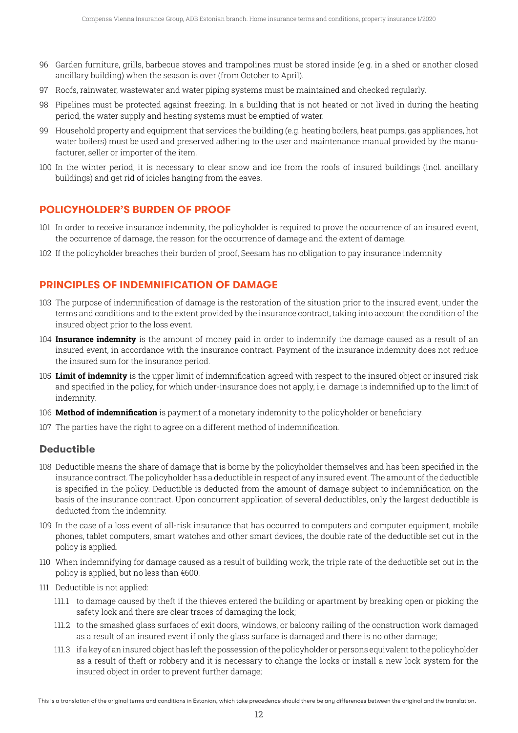- 96 Garden furniture, grills, barbecue stoves and trampolines must be stored inside (e.g. in a shed or another closed ancillary building) when the season is over (from October to April).
- 97 Roofs, rainwater, wastewater and water piping systems must be maintained and checked regularly.
- 98 Pipelines must be protected against freezing. In a building that is not heated or not lived in during the heating period, the water supply and heating systems must be emptied of water.
- 99 Household property and equipment that services the building (e.g. heating boilers, heat pumps, gas appliances, hot water boilers) must be used and preserved adhering to the user and maintenance manual provided by the manufacturer, seller or importer of the item.
- 100 In the winter period, it is necessary to clear snow and ice from the roofs of insured buildings (incl. ancillary buildings) and get rid of icicles hanging from the eaves.

## **POLICYHOLDER'S BURDEN OF PROOF**

- 101 In order to receive insurance indemnity, the policyholder is required to prove the occurrence of an insured event, the occurrence of damage, the reason for the occurrence of damage and the extent of damage.
- 102 If the policyholder breaches their burden of proof, Seesam has no obligation to pay insurance indemnity

## **PRINCIPLES OF INDEMNIFICATION OF DAMAGE**

- 103 The purpose of indemnification of damage is the restoration of the situation prior to the insured event, under the terms and conditions and to the extent provided by the insurance contract, taking into account the condition of the insured object prior to the loss event.
- 104 **Insurance indemnity** is the amount of money paid in order to indemnify the damage caused as a result of an insured event, in accordance with the insurance contract. Payment of the insurance indemnity does not reduce the insured sum for the insurance period.
- 105 **Limit of indemnity** is the upper limit of indemnification agreed with respect to the insured object or insured risk and specified in the policy, for which under-insurance does not apply, i.e. damage is indemnified up to the limit of indemnity.
- 106 **Method of indemnification** is payment of a monetary indemnity to the policyholder or beneficiary.
- 107 The parties have the right to agree on a different method of indemnification.

## **Deductible**

- 108 Deductible means the share of damage that is borne by the policyholder themselves and has been specified in the insurance contract. The policyholder has a deductible in respect of any insured event. The amount of the deductible is specified in the policy. Deductible is deducted from the amount of damage subject to indemnification on the basis of the insurance contract. Upon concurrent application of several deductibles, only the largest deductible is deducted from the indemnity.
- 109 In the case of a loss event of all-risk insurance that has occurred to computers and computer equipment, mobile phones, tablet computers, smart watches and other smart devices, the double rate of the deductible set out in the policy is applied.
- 110 When indemnifying for damage caused as a result of building work, the triple rate of the deductible set out in the policy is applied, but no less than €600.
- 111 Deductible is not applied:
	- 111.1 to damage caused by theft if the thieves entered the building or apartment by breaking open or picking the safety lock and there are clear traces of damaging the lock;
	- 111.2 to the smashed glass surfaces of exit doors, windows, or balcony railing of the construction work damaged as a result of an insured event if only the glass surface is damaged and there is no other damage;
	- 111.3 if a key of aninsured objecthas leftthe possessionofthe policyholder or persons equivalentto the policyholder as a result of theft or robbery and it is necessary to change the locks or install a new lock system for the insured object in order to prevent further damage;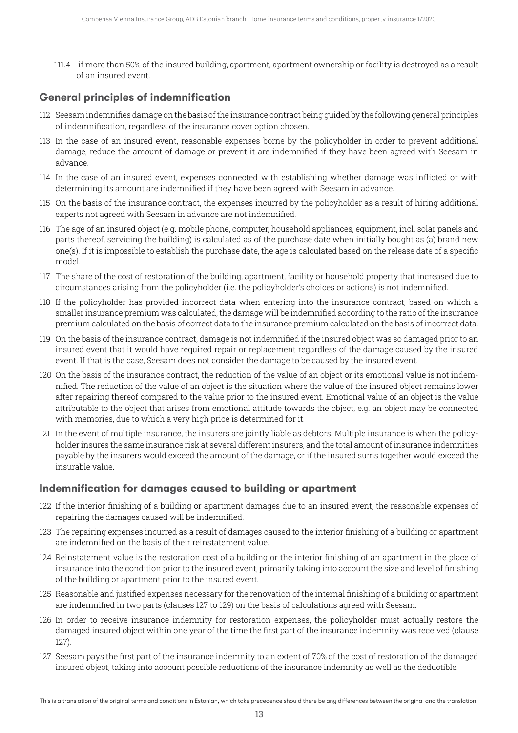111.4 if more than 50% of the insured building, apartment, apartment ownership or facility is destroyed as a result of an insured event.

# **General principles of indemnification**

- 112 Seesam indemnifies damage on the basis ofthe insurance contract being guided by the following general principles of indemnification, regardless of the insurance cover option chosen.
- 113 In the case of an insured event, reasonable expenses borne by the policyholder in order to prevent additional damage, reduce the amount of damage or prevent it are indemnified if they have been agreed with Seesam in advance.
- 114 In the case of an insured event, expenses connected with establishing whether damage was inflicted or with determining its amount are indemnified if they have been agreed with Seesam in advance.
- 115 On the basis of the insurance contract, the expenses incurred by the policyholder as a result of hiring additional experts not agreed with Seesam in advance are not indemnified.
- 116 The age of an insured object (e.g. mobile phone, computer, household appliances, equipment, incl. solar panels and parts thereof, servicing the building) is calculated as of the purchase date when initially bought as (a) brand new one(s). If it is impossible to establish the purchase date, the age is calculated based on the release date of a specific model.
- 117 The share of the cost of restoration of the building, apartment, facility or household property that increased due to circumstances arising from the policyholder (i.e. the policyholder's choices or actions) is not indemnified.
- 118 If the policyholder has provided incorrect data when entering into the insurance contract, based on which a smaller insurance premium was calculated, the damage will be indemnified according to the ratio of the insurance premium calculated on the basis of correct data to the insurance premium calculated on the basis of incorrect data.
- 119 On the basis of the insurance contract, damage is not indemnified if the insured object was so damaged prior to an insured event that it would have required repair or replacement regardless of the damage caused by the insured event. If that is the case, Seesam does not consider the damage to be caused by the insured event.
- 120 On the basis of the insurance contract, the reduction of the value of an object or its emotional value is not indemnified. The reduction of the value of an object is the situation where the value of the insured object remains lower after repairing thereof compared to the value prior to the insured event. Emotional value of an object is the value attributable to the object that arises from emotional attitude towards the object, e.g. an object may be connected with memories, due to which a very high price is determined for it.
- 121 In the event of multiple insurance, the insurers are jointly liable as debtors. Multiple insurance is when the policyholder insures the same insurance risk at several different insurers, and the total amount of insurance indemnities payable by the insurers would exceed the amount of the damage, or if the insured sums together would exceed the insurable value.

# **Indemnification for damages caused to building or apartment**

- 122 If the interior finishing of a building or apartment damages due to an insured event, the reasonable expenses of repairing the damages caused will be indemnified.
- 123 The repairing expenses incurred as a result of damages caused to the interior finishing of a building or apartment are indemnified on the basis of their reinstatement value.
- 124 Reinstatement value is the restoration cost of a building or the interior finishing of an apartment in the place of insurance into the condition prior to the insured event, primarily taking into account the size and level of finishing of the building or apartment prior to the insured event.
- 125 Reasonable and justified expenses necessary for the renovation of the internal finishing of a building or apartment are indemnified in two parts (clauses 127 to 129) on the basis of calculations agreed with Seesam.
- 126 In order to receive insurance indemnity for restoration expenses, the policyholder must actually restore the damaged insured object within one year of the time the first part of the insurance indemnity was received (clause 127).
- 127 Seesam pays the first part of the insurance indemnity to an extent of 70% of the cost of restoration of the damaged insured object, taking into account possible reductions of the insurance indemnity as well as the deductible.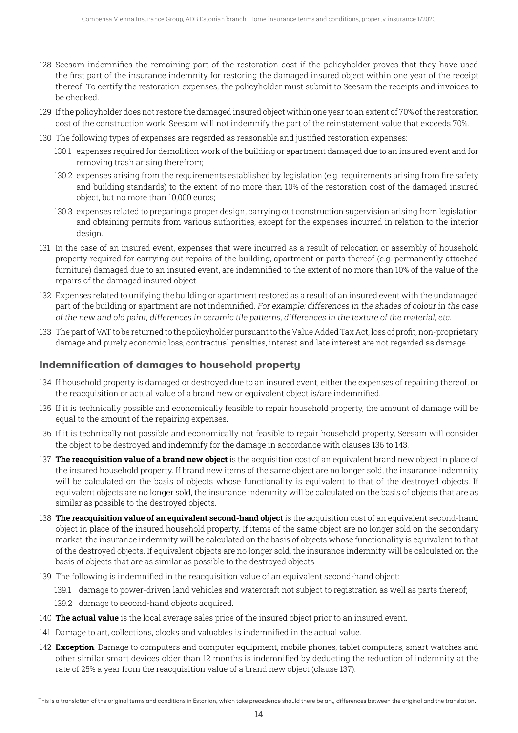- 128 Seesam indemnifies the remaining part of the restoration cost if the policyholder proves that they have used the first part of the insurance indemnity for restoring the damaged insured object within one year of the receipt thereof. To certify the restoration expenses, the policyholder must submit to Seesam the receipts and invoices to be checked.
- 129 If the policyholder does not restore the damaged insured object within one year to an extent of 70% of the restoration cost of the construction work, Seesam will not indemnify the part of the reinstatement value that exceeds 70%.
- 130 The following types of expenses are regarded as reasonable and justified restoration expenses:
	- 130.1 expenses required for demolition work of the building or apartment damaged due to an insured event and for removing trash arising therefrom;
	- 130.2 expenses arising from the requirements established by legislation (e.g. requirements arising from fire safety and building standards) to the extent of no more than 10% of the restoration cost of the damaged insured object, but no more than 10,000 euros;
	- 130.3 expenses related to preparing a proper design, carrying out construction supervision arising from legislation and obtaining permits from various authorities, except for the expenses incurred in relation to the interior design.
- 131 In the case of an insured event, expenses that were incurred as a result of relocation or assembly of household property required for carrying out repairs of the building, apartment or parts thereof (e.g. permanently attached furniture) damaged due to an insured event, are indemnified to the extent of no more than 10% of the value of the repairs of the damaged insured object.
- 132 Expenses related to unifying the building or apartment restored as a result of an insured event with the undamaged part of the building or apartment are not indemnified. For example: differences in the shades of colour in the case of the new and old paint, differences in ceramic tile patterns, differences in the texture of the material, etc.
- 133 The part of VAT to be returned to the policyholder pursuant to the Value Added Tax Act, loss of profit, non-proprietary damage and purely economic loss, contractual penalties, interest and late interest are not regarded as damage.

## **Indemnification of damages to household property**

- 134 If household property is damaged or destroyed due to an insured event, either the expenses of repairing thereof, or the reacquisition or actual value of a brand new or equivalent object is/are indemnified.
- 135 If it is technically possible and economically feasible to repair household property, the amount of damage will be equal to the amount of the repairing expenses.
- 136 If it is technically not possible and economically not feasible to repair household property, Seesam will consider the object to be destroyed and indemnify for the damage in accordance with clauses 136 to 143.
- 137 The reacquisition value of a brand new object is the acquisition cost of an equivalent brand new object in place of the insured household property. If brand new items of the same object are no longer sold, the insurance indemnity will be calculated on the basis of objects whose functionality is equivalent to that of the destroyed objects. If equivalent objects are no longer sold, the insurance indemnity will be calculated on the basis of objects that are as similar as possible to the destroyed objects.
- 138 **The reacquisition value of an equivalent second-hand object** is the acquisition cost of an equivalent second-hand object in place of the insured household property. If items of the same object are no longer sold on the secondary market, the insurance indemnity will be calculated on the basis of objects whose functionality is equivalent to that of the destroyed objects. If equivalent objects are no longer sold, the insurance indemnity will be calculated on the basis of objects that are as similar as possible to the destroyed objects.
- 139 The following is indemnified in the reacquisition value of an equivalent second-hand object:
	- 139.1 damage to power-driven land vehicles and watercraft not subject to registration as well as parts thereof;
	- 139.2 damage to second-hand objects acquired.
- 140 **The actual value** is the local average sales price of the insured object prior to an insured event.
- 141 Damage to art, collections, clocks and valuables is indemnified in the actual value.
- 142 **Exception**. Damage to computers and computer equipment, mobile phones, tablet computers, smart watches and other similar smart devices older than 12 months is indemnified by deducting the reduction of indemnity at the rate of 25% a year from the reacquisition value of a brand new object (clause 137).